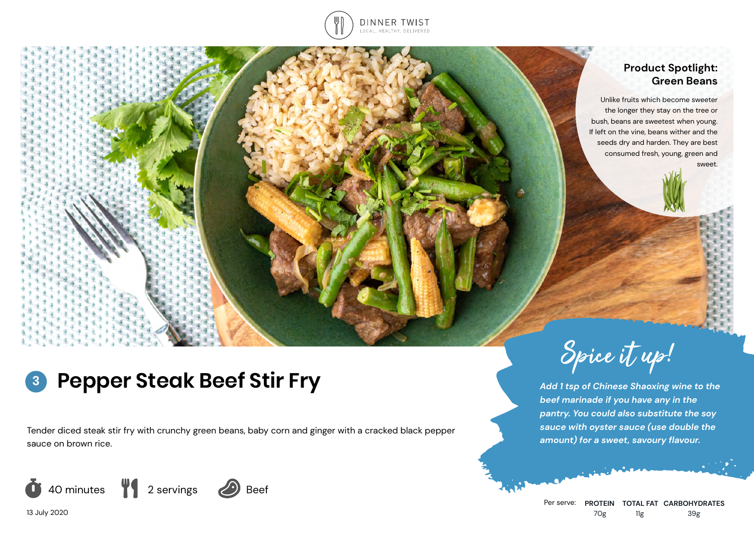

## **Product Spotlight: Green Beans**

Unlike fruits which become sweeter the longer they stay on the tree or bush, beans are sweetest when young. If left on the vine, beans wither and the seeds dry and harden. They are best consumed fresh, young, green and sweet.

## **Pepper Steak Beef Stir Fry 3**

Tender diced steak stir fry with crunchy green beans, baby corn and ginger with a cracked black pepper sauce on brown rice.





*Add 1 tsp of Chinese Shaoxing wine to the beef marinade if you have any in the pantry. You could also substitute the soy sauce with oyster sauce (use double the amount) for a sweet, savoury flavour.*